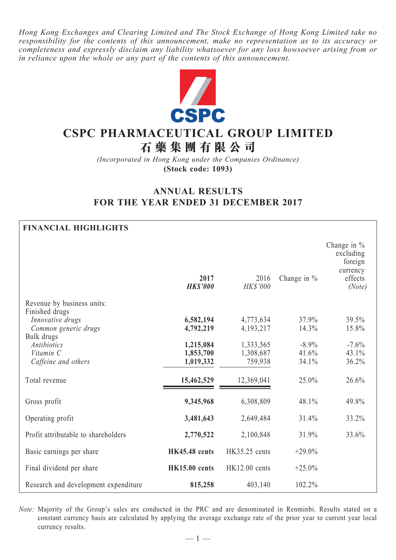*Hong Kong Exchanges and Clearing Limited and The Stock Exchange of Hong Kong Limited take no responsibility for the contents of this announcement, make no representation as to its accuracy or completeness and expressly disclaim any liability whatsoever for any loss howsoever arising from or in reliance upon the whole or any part of the contents of this announcement.*



# **CSPC PHARMACEUTICAL GROUP LIMITED**

**石 藥 集 團 有 限 公 司**

*(Incorporated in Hong Kong under the Companies Ordinance)* **(Stock code: 1093)**

# **ANNUAL RESULTS FOR THE YEAR ENDED 31 DECEMBER 2017**

# **FINANCIAL HIGHLIGHTS**

|                                                                      | 2017<br><b>HKS'000</b>              | 2016<br>HK\$'000                  | Change in $%$              | Change in $%$<br>excluding<br>foreign<br>currency<br>effects<br>(Note) |
|----------------------------------------------------------------------|-------------------------------------|-----------------------------------|----------------------------|------------------------------------------------------------------------|
| Revenue by business units:                                           |                                     |                                   |                            |                                                                        |
| Finished drugs<br>Innovative drugs<br>Common generic drugs           | 6,582,194<br>4,792,219              | 4,773,634<br>4, 193, 217          | 37.9%<br>14.3%             | 39.5%<br>15.8%                                                         |
| Bulk drugs<br><b>Antibiotics</b><br>Vitamin C<br>Caffeine and others | 1,215,084<br>1,853,700<br>1,019,332 | 1,333,565<br>1,308,687<br>759,938 | $-8.9\%$<br>41.6%<br>34.1% | $-7.6%$<br>43.1%<br>36.2%                                              |
| Total revenue                                                        | 15,462,529                          | 12,369,041                        | 25.0%                      | 26.6%                                                                  |
| Gross profit                                                         | 9,345,968                           | 6,308,809                         | 48.1%                      | 49.8%                                                                  |
| Operating profit                                                     | 3,481,643                           | 2,649,484                         | 31.4%                      | 33.2%                                                                  |
| Profit attributable to shareholders                                  | 2,770,522                           | 2,100,848                         | 31.9%                      | 33.6%                                                                  |
| Basic earnings per share                                             | <b>HK45.48</b> cents                | HK35.25 cents                     | $+29.0%$                   |                                                                        |
| Final dividend per share                                             | <b>HK15.00 cents</b>                | HK12.00 cents                     | $+25.0%$                   |                                                                        |
| Research and development expenditure                                 | 815,258                             | 403,140                           | 102.2%                     |                                                                        |

*Note:* Majority of the Group's sales are conducted in the PRC and are denominated in Renminbi. Results stated on a constant currency basis are calculated by applying the average exchange rate of the prior year to current year local currency results.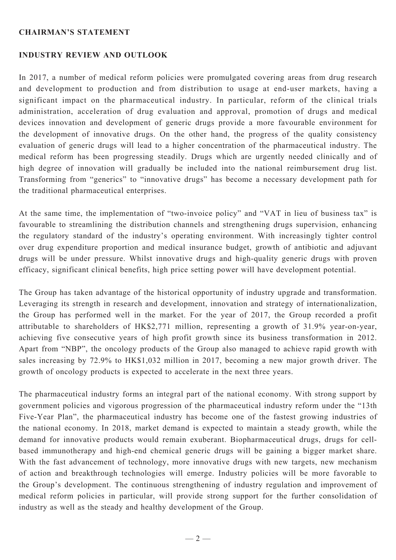#### **Chairman's Statement**

#### **Industry Review And Outlook**

In 2017, a number of medical reform policies were promulgated covering areas from drug research and development to production and from distribution to usage at end-user markets, having a significant impact on the pharmaceutical industry. In particular, reform of the clinical trials administration, acceleration of drug evaluation and approval, promotion of drugs and medical devices innovation and development of generic drugs provide a more favourable environment for the development of innovative drugs. On the other hand, the progress of the quality consistency evaluation of generic drugs will lead to a higher concentration of the pharmaceutical industry. The medical reform has been progressing steadily. Drugs which are urgently needed clinically and of high degree of innovation will gradually be included into the national reimbursement drug list. Transforming from "generics" to "innovative drugs" has become a necessary development path for the traditional pharmaceutical enterprises.

At the same time, the implementation of "two-invoice policy" and "VAT in lieu of business tax" is favourable to streamlining the distribution channels and strengthening drugs supervision, enhancing the regulatory standard of the industry's operating environment. With increasingly tighter control over drug expenditure proportion and medical insurance budget, growth of antibiotic and adjuvant drugs will be under pressure. Whilst innovative drugs and high-quality generic drugs with proven efficacy, significant clinical benefits, high price setting power will have development potential.

The Group has taken advantage of the historical opportunity of industry upgrade and transformation. Leveraging its strength in research and development, innovation and strategy of internationalization, the Group has performed well in the market. For the year of 2017, the Group recorded a profit attributable to shareholders of HK\$2,771 million, representing a growth of 31.9% year-on-year, achieving five consecutive years of high profit growth since its business transformation in 2012. Apart from "NBP", the oncology products of the Group also managed to achieve rapid growth with sales increasing by 72.9% to HK\$1,032 million in 2017, becoming a new major growth driver. The growth of oncology products is expected to accelerate in the next three years.

The pharmaceutical industry forms an integral part of the national economy. With strong support by government policies and vigorous progression of the pharmaceutical industry reform under the "13th Five-Year Plan", the pharmaceutical industry has become one of the fastest growing industries of the national economy. In 2018, market demand is expected to maintain a steady growth, while the demand for innovative products would remain exuberant. Biopharmaceutical drugs, drugs for cellbased immunotherapy and high-end chemical generic drugs will be gaining a bigger market share. With the fast advancement of technology, more innovative drugs with new targets, new mechanism of action and breakthrough technologies will emerge. Industry policies will be more favorable to the Group's development. The continuous strengthening of industry regulation and improvement of medical reform policies in particular, will provide strong support for the further consolidation of industry as well as the steady and healthy development of the Group.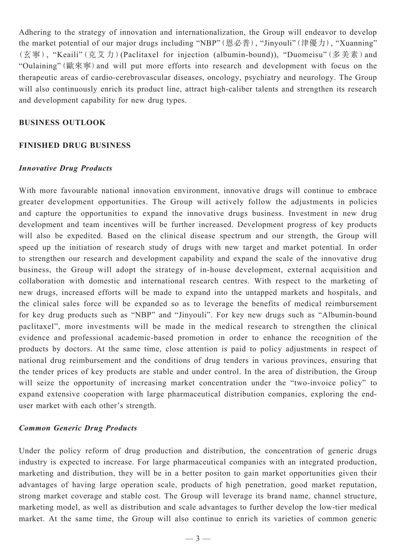Adhering to the strategy of innovation and internationalization, the Group will endeavor to develop the market potential of our major drugs including "NBP"(恩必普), "Jinyouli"(津優力), "Xuanning" (玄寧), "Keaili"(克艾力)(Paclitaxel for injection (albumin-bound)), "Duomeisu"(多美素)and "Oulaining"(歐來寧)and will put more efforts into research and development with focus on the therapeutic areas of cardio-cerebrovascular diseases, oncology, psychiatry and neurology. The Group will also continuously enrich its product line, attract high-caliber talents and strengthen its research and development capability for new drug types.

#### **BUSINESS OUTLOOK**

#### **Finished Drug Business**

#### *Innovative Drug Products*

With more favourable national innovation environment, innovative drugs will continue to embrace greater development opportunities. The Group will actively follow the adjustments in policies and capture the opportunities to expand the innovative drugs business. Investment in new drug development and team incentives will be further increased. Development progress of key products will also be expedited. Based on the clinical disease spectrum and our strength, the Group will speed up the initiation of research study of drugs with new target and market potential. In order to strengthen our research and development capability and expand the scale of the innovative drug business, the Group will adopt the strategy of in-house development, external acquisition and collaboration with domestic and international research centres. With respect to the marketing of new drugs, increased efforts will be made to expand into the untapped markets and hospitals, and the clinical sales force will be expanded so as to leverage the benefits of medical reimbursement for key drug products such as "NBP" and "Jinyouli". For key new drugs such as "Albumin-bound paclitaxel", more investments will be made in the medical research to strengthen the clinical evidence and professional academic-based promotion in order to enhance the recognition of the products by doctors. At the same time, close attention is paid to policy adjustments in respect of national drug reimbursement and the conditions of drug tenders in various provinces, ensuring that the tender prices of key products are stable and under control. In the area of distribution, the Group will seize the opportunity of increasing market concentration under the "two-invoice policy" to expand extensive cooperation with large pharmaceutical distribution companies, exploring the enduser market with each other's strength.

#### *Common Generic Drug Products*

Under the policy reform of drug production and distribution, the concentration of generic drugs industry is expected to increase. For large pharmaceutical companies with an integrated production, marketing and distribution, they will be in a better positon to gain market opportunities given their advantages of having large operation scale, products of high penetration, good market reputation, strong market coverage and stable cost. The Group will leverage its brand name, channel structure, marketing model, as well as distribution and scale advantages to further develop the low-tier medical market. At the same time, the Group will also continue to enrich its varieties of common generic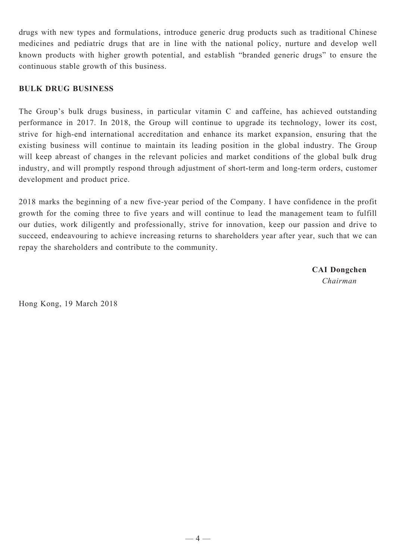drugs with new types and formulations, introduce generic drug products such as traditional Chinese medicines and pediatric drugs that are in line with the national policy, nurture and develop well known products with higher growth potential, and establish "branded generic drugs" to ensure the continuous stable growth of this business.

# **Bulk Drug Business**

The Group's bulk drugs business, in particular vitamin C and caffeine, has achieved outstanding performance in 2017. In 2018, the Group will continue to upgrade its technology, lower its cost, strive for high-end international accreditation and enhance its market expansion, ensuring that the existing business will continue to maintain its leading position in the global industry. The Group will keep abreast of changes in the relevant policies and market conditions of the global bulk drug industry, and will promptly respond through adjustment of short-term and long-term orders, customer development and product price.

2018 marks the beginning of a new five-year period of the Company. I have confidence in the profit growth for the coming three to five years and will continue to lead the management team to fulfill our duties, work diligently and professionally, strive for innovation, keep our passion and drive to succeed, endeavouring to achieve increasing returns to shareholders year after year, such that we can repay the shareholders and contribute to the community.

> **CAI Dongchen** *Chairman*

Hong Kong, 19 March 2018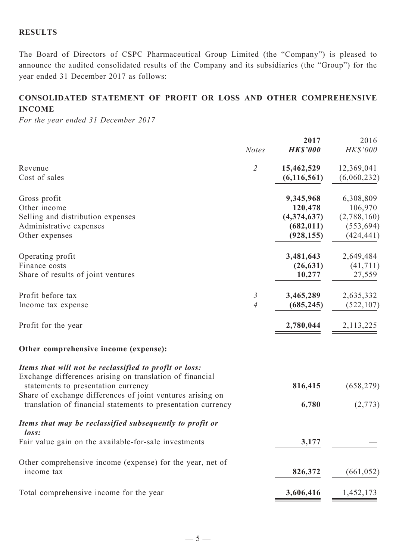# **RESULTS**

The Board of Directors of CSPC Pharmaceutical Group Limited (the "Company") is pleased to announce the audited consolidated results of the Company and its subsidiaries (the "Group") for the year ended 31 December 2017 as follows:

# **CONSOLIDATED STATEMENT OF profit or loss AND OTHER COMPREHENSIVE INCOME**

*For the year ended 31 December 2017*

|                                                                                                                                                                                                                                                                                         | <b>Notes</b>                     | 2017<br><b>HK\$'000</b>                                         | 2016<br>HK\$'000                                                |
|-----------------------------------------------------------------------------------------------------------------------------------------------------------------------------------------------------------------------------------------------------------------------------------------|----------------------------------|-----------------------------------------------------------------|-----------------------------------------------------------------|
| Revenue<br>Cost of sales                                                                                                                                                                                                                                                                | $\overline{2}$                   | 15,462,529<br>(6, 116, 561)                                     | 12,369,041<br>(6,060,232)                                       |
| Gross profit<br>Other income<br>Selling and distribution expenses<br>Administrative expenses<br>Other expenses                                                                                                                                                                          |                                  | 9,345,968<br>120,478<br>(4,374,637)<br>(682, 011)<br>(928, 155) | 6,308,809<br>106,970<br>(2,788,160)<br>(553, 694)<br>(424, 441) |
| Operating profit<br>Finance costs<br>Share of results of joint ventures                                                                                                                                                                                                                 |                                  | 3,481,643<br>(26, 631)<br>10,277                                | 2,649,484<br>(41, 711)<br>27,559                                |
| Profit before tax<br>Income tax expense                                                                                                                                                                                                                                                 | $\mathfrak{Z}$<br>$\overline{A}$ | 3,465,289<br>(685, 245)                                         | 2,635,332<br>(522, 107)                                         |
| Profit for the year                                                                                                                                                                                                                                                                     |                                  | 2,780,044                                                       | 2,113,225                                                       |
| Other comprehensive income (expense):                                                                                                                                                                                                                                                   |                                  |                                                                 |                                                                 |
| Items that will not be reclassified to profit or loss:<br>Exchange differences arising on translation of financial<br>statements to presentation currency<br>Share of exchange differences of joint ventures arising on<br>translation of financial statements to presentation currency |                                  | 816,415<br>6,780                                                | (658, 279)<br>(2,773)                                           |
| Items that may be reclassified subsequently to profit or<br>loss:<br>Fair value gain on the available-for-sale investments                                                                                                                                                              |                                  | 3,177                                                           |                                                                 |
| Other comprehensive income (expense) for the year, net of<br>income tax                                                                                                                                                                                                                 |                                  | 826,372                                                         | (661, 052)                                                      |
| Total comprehensive income for the year                                                                                                                                                                                                                                                 |                                  | 3,606,416                                                       | 1,452,173                                                       |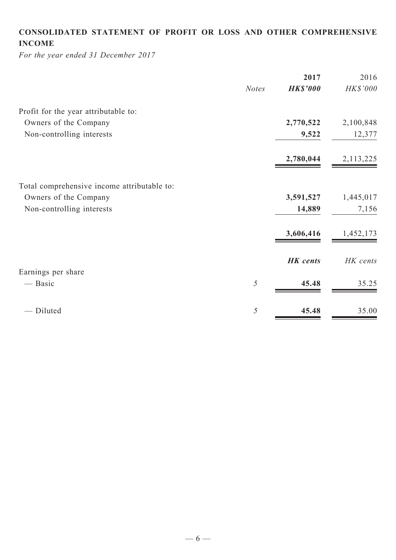# **CONSOLIDATED STATEMENT OF profit or loss and Other COMPREHENSIVE INCOME**

*For the year ended 31 December 2017*

| <b>Notes</b> | <b>HK\$'000</b> |             |
|--------------|-----------------|-------------|
|              |                 | HK\$'000    |
|              |                 |             |
|              | 2,770,522       | 2,100,848   |
|              | 9,522           | 12,377      |
|              | 2,780,044       | 2, 113, 225 |
|              |                 |             |
|              | 3,591,527       | 1,445,017   |
|              | 14,889          | 7,156       |
|              | 3,606,416       | 1,452,173   |
|              | <b>HK</b> cents | HK cents    |
|              |                 |             |
| 5            | 45.48           | 35.25       |
| 5            | 45.48           | 35.00       |
|              |                 |             |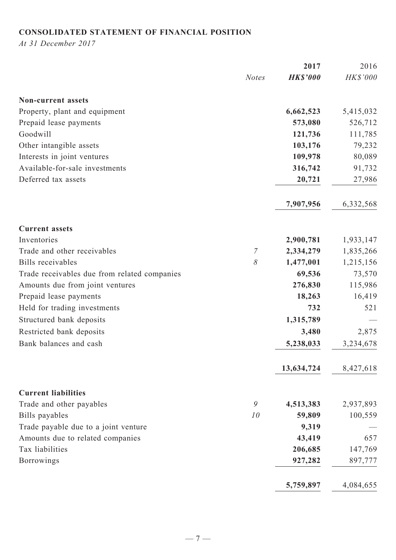# **CONSOLIDATED STATEMENT OF FINANCIAL POSITION**

*At 31 December 2017*

|                                              |                  | 2017            | 2016      |
|----------------------------------------------|------------------|-----------------|-----------|
|                                              | <b>Notes</b>     | <b>HK\$'000</b> | HK\$'000  |
| <b>Non-current assets</b>                    |                  |                 |           |
| Property, plant and equipment                |                  | 6,662,523       | 5,415,032 |
| Prepaid lease payments                       |                  | 573,080         | 526,712   |
| Goodwill                                     |                  | 121,736         | 111,785   |
| Other intangible assets                      |                  | 103,176         | 79,232    |
| Interests in joint ventures                  |                  | 109,978         | 80,089    |
| Available-for-sale investments               |                  | 316,742         | 91,732    |
| Deferred tax assets                          |                  | 20,721          | 27,986    |
|                                              |                  | 7,907,956       | 6,332,568 |
| <b>Current assets</b>                        |                  |                 |           |
| Inventories                                  |                  | 2,900,781       | 1,933,147 |
| Trade and other receivables                  | $\boldsymbol{7}$ | 2,334,279       | 1,835,266 |
| <b>Bills</b> receivables                     | 8                | 1,477,001       | 1,215,156 |
| Trade receivables due from related companies |                  | 69,536          | 73,570    |
| Amounts due from joint ventures              |                  | 276,830         | 115,986   |
| Prepaid lease payments                       |                  | 18,263          | 16,419    |
| Held for trading investments                 |                  | 732             | 521       |
| Structured bank deposits                     |                  | 1,315,789       |           |
| Restricted bank deposits                     |                  | 3,480           | 2,875     |
| Bank balances and cash                       |                  | 5,238,033       | 3,234,678 |
|                                              |                  | 13,634,724      | 8,427,618 |
| <b>Current liabilities</b>                   |                  |                 |           |
| Trade and other payables                     | 9                | 4,513,383       | 2,937,893 |
| Bills payables                               | 10               | 59,809          | 100,559   |
| Trade payable due to a joint venture         |                  | 9,319           |           |
| Amounts due to related companies             |                  | 43,419          | 657       |
| Tax liabilities                              |                  | 206,685         | 147,769   |
| <b>Borrowings</b>                            |                  | 927,282         | 897,777   |
|                                              |                  | 5,759,897       | 4,084,655 |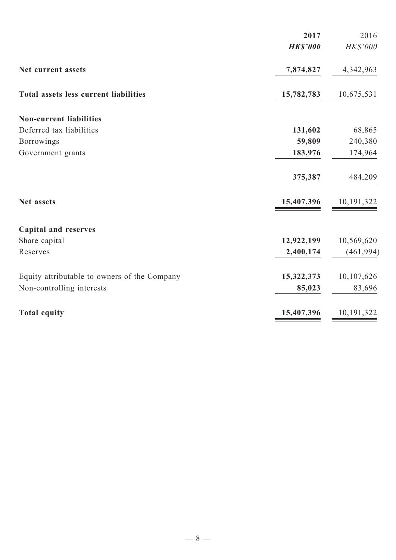| 2017            | 2016                                   |
|-----------------|----------------------------------------|
| <b>HK\$'000</b> | HK\$'000                               |
| 7,874,827       | 4,342,963                              |
| 15,782,783      | 10,675,531                             |
|                 |                                        |
| 131,602         | 68,865                                 |
| 59,809          | 240,380                                |
| 183,976         | 174,964                                |
| 375,387         | 484,209                                |
| 15,407,396      | 10,191,322                             |
|                 |                                        |
|                 | 10,569,620                             |
| 2,400,174       | (461, 994)                             |
|                 | 10,107,626                             |
| 85,023          | 83,696                                 |
|                 | 10,191,322                             |
|                 | 12,922,199<br>15,322,373<br>15,407,396 |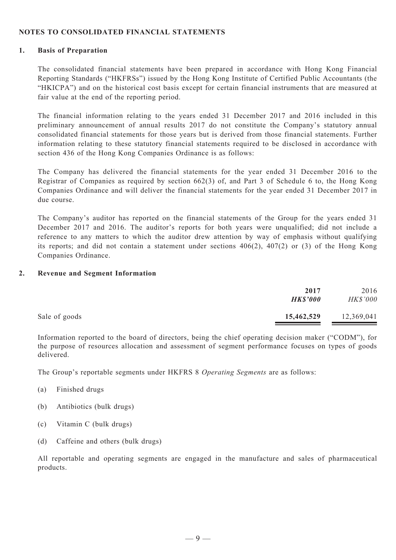#### **NOTES TO consolidated FINANCIAL STATEMENTS**

#### **1. Basis of Preparation**

The consolidated financial statements have been prepared in accordance with Hong Kong Financial Reporting Standards ("HKFRSs") issued by the Hong Kong Institute of Certified Public Accountants (the "HKICPA") and on the historical cost basis except for certain financial instruments that are measured at fair value at the end of the reporting period.

The financial information relating to the years ended 31 December 2017 and 2016 included in this preliminary announcement of annual results 2017 do not constitute the Company's statutory annual consolidated financial statements for those years but is derived from those financial statements. Further information relating to these statutory financial statements required to be disclosed in accordance with section 436 of the Hong Kong Companies Ordinance is as follows:

The Company has delivered the financial statements for the year ended 31 December 2016 to the Registrar of Companies as required by section 662(3) of, and Part 3 of Schedule 6 to, the Hong Kong Companies Ordinance and will deliver the financial statements for the year ended 31 December 2017 in due course.

The Company's auditor has reported on the financial statements of the Group for the years ended 31 December 2017 and 2016. The auditor's reports for both years were unqualified; did not include a reference to any matters to which the auditor drew attention by way of emphasis without qualifying its reports; and did not contain a statement under sections 406(2), 407(2) or (3) of the Hong Kong Companies Ordinance.

#### **2. Revenue and Segment Information**

|               | 2017<br><b>HK\$'000</b> | 2016<br>HK\$'000 |
|---------------|-------------------------|------------------|
| Sale of goods | 15,462,529              | 12,369,041       |

Information reported to the board of directors, being the chief operating decision maker ("CODM"), for the purpose of resources allocation and assessment of segment performance focuses on types of goods delivered.

The Group's reportable segments under HKFRS 8 *Operating Segments* are as follows:

- (a) Finished drugs
- (b) Antibiotics (bulk drugs)
- (c) Vitamin C (bulk drugs)
- (d) Caffeine and others (bulk drugs)

All reportable and operating segments are engaged in the manufacture and sales of pharmaceutical products.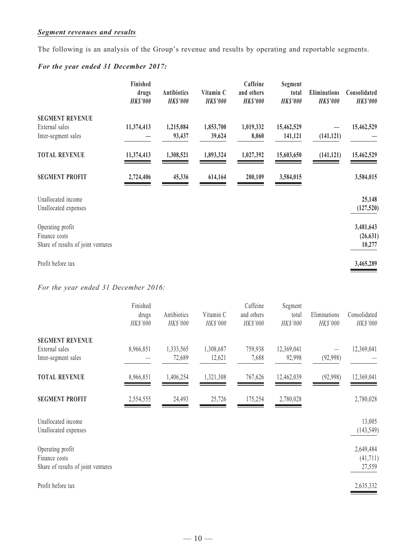## *Segment revenues and results*

The following is an analysis of the Group's revenue and results by operating and reportable segments.

# *For the year ended 31 December 2017:*

|                                    | Finished<br>drugs<br><b>HK\$'000</b> | <b>Antibiotics</b><br><b>HK\$'000</b> | Vitamin C<br><b>HK\$'000</b> | Caffeine<br>and others<br><b>HK\$'000</b> | Segment<br>total<br><b>HK\$'000</b> | <b>Eliminations</b><br><b>HK\$'000</b> | Consolidated<br><b>HK\$'000</b> |
|------------------------------------|--------------------------------------|---------------------------------------|------------------------------|-------------------------------------------|-------------------------------------|----------------------------------------|---------------------------------|
| <b>SEGMENT REVENUE</b>             |                                      |                                       |                              |                                           |                                     |                                        |                                 |
| External sales                     | 11,374,413                           | 1,215,084                             | 1,853,700                    | 1,019,332                                 | 15,462,529                          |                                        | 15,462,529                      |
| Inter-segment sales                |                                      | 93,437                                | 39,624                       | 8,060                                     | 141,121                             | (141, 121)                             |                                 |
| <b>TOTAL REVENUE</b>               | 11,374,413                           | 1,308,521                             | 1,893,324                    | 1,027,392                                 | 15,603,650                          | (141, 121)                             | 15,462,529                      |
| <b>SEGMENT PROFIT</b>              | 2,724,406                            | 45,336                                | 614,164                      | 200,109                                   | 3,584,015                           |                                        | 3,584,015                       |
| Unallocated income                 |                                      |                                       |                              |                                           |                                     |                                        | 25,148                          |
| Unallocated expenses               |                                      |                                       |                              |                                           |                                     |                                        | (127, 520)                      |
| Operating profit                   |                                      |                                       |                              |                                           |                                     |                                        | 3,481,643                       |
| Finance costs                      |                                      |                                       |                              |                                           |                                     |                                        | (26, 631)                       |
| Share of results of joint ventures |                                      |                                       |                              |                                           |                                     |                                        | 10,277                          |
| Profit before tax                  |                                      |                                       |                              |                                           |                                     |                                        | 3,465,289                       |

*For the year ended 31 December 2016:*

|                                                                         | Finished<br>drugs<br>HK\$'000 | Antibiotics<br>HK\$'000 | Vitamin C<br>HK\$'000 | Caffeine<br>and others<br>HK\$'000 | Segment<br>total<br>HK\$'000 | Eliminations<br>HK\$'000 | Consolidated<br>HK\$'000         |
|-------------------------------------------------------------------------|-------------------------------|-------------------------|-----------------------|------------------------------------|------------------------------|--------------------------|----------------------------------|
| <b>SEGMENT REVENUE</b>                                                  |                               |                         |                       |                                    |                              |                          |                                  |
| External sales<br>Inter-segment sales                                   | 8,966,851                     | 1,333,565<br>72,689     | 1,308,687<br>12,621   | 759,938<br>7,688                   | 12,369,041<br>92,998         | (92,998)                 | 12,369,041                       |
| <b>TOTAL REVENUE</b>                                                    | 8,966,851                     | 1,406,254               | 1,321,308             | 767,626                            | 12,462,039                   | (92,998)                 | 12,369,041                       |
| <b>SEGMENT PROFIT</b>                                                   | 2,554,555                     | 24,493                  | 25,726                | 175,254                            | 2,780,028                    |                          | 2,780,028                        |
| Unallocated income<br>Unallocated expenses                              |                               |                         |                       |                                    |                              |                          | 13,005<br>(143, 549)             |
| Operating profit<br>Finance costs<br>Share of results of joint ventures |                               |                         |                       |                                    |                              |                          | 2,649,484<br>(41, 711)<br>27,559 |
| Profit before tax                                                       |                               |                         |                       |                                    |                              |                          | 2,635,332                        |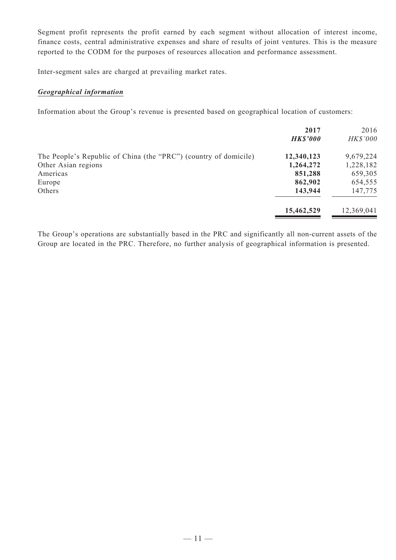Segment profit represents the profit earned by each segment without allocation of interest income, finance costs, central administrative expenses and share of results of joint ventures. This is the measure reported to the CODM for the purposes of resources allocation and performance assessment.

Inter-segment sales are charged at prevailing market rates.

#### *Geographical information*

Information about the Group's revenue is presented based on geographical location of customers:

|                                                                  | 2017<br><b>HK\$'000</b> | 2016<br><b>HK\$'000</b> |
|------------------------------------------------------------------|-------------------------|-------------------------|
| The People's Republic of China (the "PRC") (country of domicile) | 12,340,123              | 9,679,224               |
| Other Asian regions                                              | 1,264,272               | 1,228,182               |
| Americas                                                         | 851,288                 | 659,305                 |
| Europe                                                           | 862,902                 | 654,555                 |
| Others                                                           | 143,944                 | 147,775                 |
|                                                                  | 15,462,529              | 12,369,041              |
|                                                                  |                         |                         |

The Group's operations are substantially based in the PRC and significantly all non-current assets of the Group are located in the PRC. Therefore, no further analysis of geographical information is presented.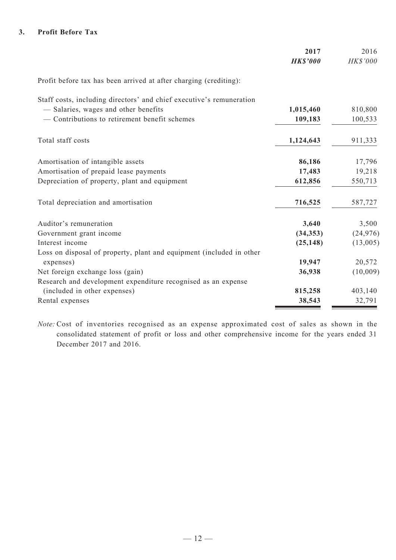#### **3. Profit Before Tax**

|                                                                      | 2017<br><b>HK\$'000</b> | 2016<br>HK\$'000 |
|----------------------------------------------------------------------|-------------------------|------------------|
| Profit before tax has been arrived at after charging (crediting):    |                         |                  |
| Staff costs, including directors' and chief executive's remuneration |                         |                  |
| - Salaries, wages and other benefits                                 | 1,015,460               | 810,800          |
| - Contributions to retirement benefit schemes                        | 109,183                 | 100,533          |
| Total staff costs                                                    | 1,124,643               | 911,333          |
| Amortisation of intangible assets                                    | 86,186                  | 17,796           |
| Amortisation of prepaid lease payments                               | 17,483                  | 19,218           |
| Depreciation of property, plant and equipment                        | 612,856                 | 550,713          |
| Total depreciation and amortisation                                  | 716,525                 | 587,727          |
| Auditor's remuneration                                               | 3,640                   | 3,500            |
| Government grant income                                              | (34, 353)               | (24, 976)        |
| Interest income                                                      | (25, 148)               | (13,005)         |
| Loss on disposal of property, plant and equipment (included in other |                         |                  |
| expenses)                                                            | 19,947                  | 20,572           |
| Net foreign exchange loss (gain)                                     | 36,938                  | (10,009)         |
| Research and development expenditure recognised as an expense        |                         |                  |
| (included in other expenses)                                         | 815,258                 | 403,140          |
| Rental expenses                                                      | 38,543                  | 32,791           |

*Note:* Cost of inventories recognised as an expense approximated cost of sales as shown in the consolidated statement of profit or loss and other comprehensive income for the years ended 31 December 2017 and 2016.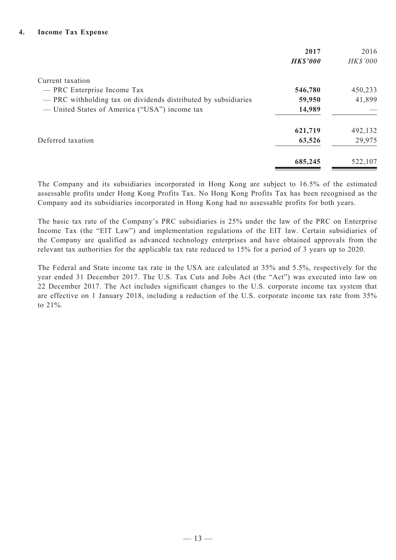|                                                                | 2017<br><b>HK\$'000</b> | 2016<br>HK\$'000 |
|----------------------------------------------------------------|-------------------------|------------------|
| Current taxation                                               |                         |                  |
| — PRC Enterprise Income Tax                                    | 546,780                 | 450,233          |
| - PRC withholding tax on dividends distributed by subsidiaries | 59,950                  | 41,899           |
| — United States of America ("USA") income tax                  | 14,989                  |                  |
|                                                                | 621,719                 | 492,132          |
| Deferred taxation                                              | 63,526                  | 29,975           |
|                                                                | 685,245                 | 522,107          |

The Company and its subsidiaries incorporated in Hong Kong are subject to 16.5% of the estimated assessable profits under Hong Kong Profits Tax. No Hong Kong Profits Tax has been recognised as the Company and its subsidiaries incorporated in Hong Kong had no assessable profits for both years.

The basic tax rate of the Company's PRC subsidiaries is 25% under the law of the PRC on Enterprise Income Tax (the "EIT Law") and implementation regulations of the EIT law. Certain subsidiaries of the Company are qualified as advanced technology enterprises and have obtained approvals from the relevant tax authorities for the applicable tax rate reduced to 15% for a period of 3 years up to 2020.

The Federal and State income tax rate in the USA are calculated at 35% and 5.5%, respectively for the year ended 31 December 2017. The U.S. Tax Cuts and Jobs Act (the "Act") was executed into law on 22 December 2017. The Act includes significant changes to the U.S. corporate income tax system that are effective on 1 January 2018, including a reduction of the U.S. corporate income tax rate from 35% to 21%.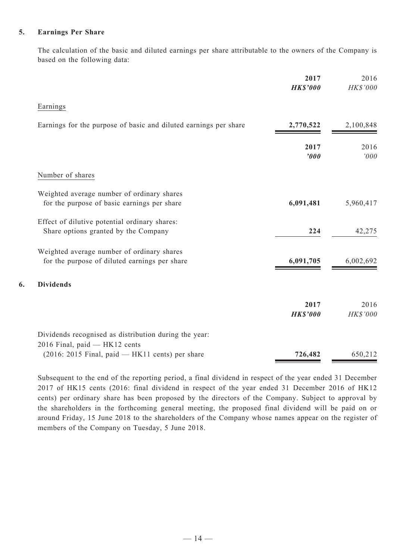#### **5. Earnings Per Share**

**6. Dividends**

The calculation of the basic and diluted earnings per share attributable to the owners of the Company is based on the following data:

|                                                                                             | 2017<br><b>HK\$'000</b> | 2016<br>HK\$'000 |
|---------------------------------------------------------------------------------------------|-------------------------|------------------|
| Earnings                                                                                    |                         |                  |
| Earnings for the purpose of basic and diluted earnings per share                            | 2,770,522               | 2,100,848        |
|                                                                                             | 2017<br>'000            | 2016<br>'000     |
| Number of shares                                                                            |                         |                  |
| Weighted average number of ordinary shares<br>for the purpose of basic earnings per share   | 6,091,481               | 5,960,417        |
| Effect of dilutive potential ordinary shares:<br>Share options granted by the Company       | 224                     | 42,275           |
| Weighted average number of ordinary shares<br>for the purpose of diluted earnings per share | 6,091,705               | 6,002,692        |
| <b>Dividends</b>                                                                            |                         |                  |
|                                                                                             | 2017<br><b>HK\$'000</b> | 2016<br>HK\$'000 |
| Dividends recognised as distribution during the year:                                       |                         |                  |
| 2016 Final, paid - HK12 cents<br>$(2016: 2015$ Final, paid — HK11 cents) per share          | 726,482                 | 650,212          |

Subsequent to the end of the reporting period, a final dividend in respect of the year ended 31 December 2017 of HK15 cents (2016: final dividend in respect of the year ended 31 December 2016 of HK12 cents) per ordinary share has been proposed by the directors of the Company. Subject to approval by the shareholders in the forthcoming general meeting, the proposed final dividend will be paid on or around Friday, 15 June 2018 to the shareholders of the Company whose names appear on the register of members of the Company on Tuesday, 5 June 2018.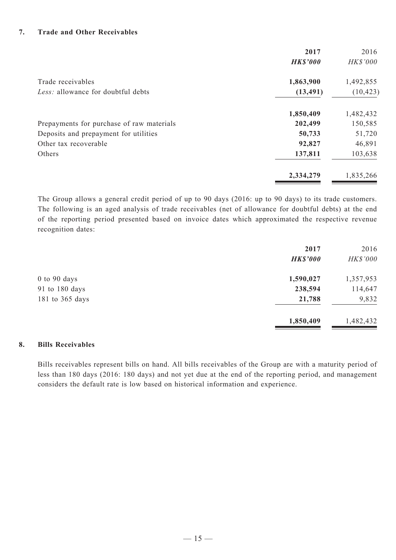#### **7. Trade and Other Receivables**

|                                           | 2017            | 2016      |
|-------------------------------------------|-----------------|-----------|
|                                           | <b>HK\$'000</b> | HK\$'000  |
| Trade receivables                         | 1,863,900       | 1,492,855 |
| Less: allowance for doubtful debts        | (13, 491)       | (10, 423) |
|                                           | 1,850,409       | 1,482,432 |
| Prepayments for purchase of raw materials | 202,499         | 150,585   |
| Deposits and prepayment for utilities     | 50,733          | 51,720    |
| Other tax recoverable                     | 92,827          | 46,891    |
| Others                                    | 137,811         | 103,638   |
|                                           | 2,334,279       | 1,835,266 |
|                                           |                 |           |

The Group allows a general credit period of up to 90 days (2016: up to 90 days) to its trade customers. The following is an aged analysis of trade receivables (net of allowance for doubtful debts) at the end of the reporting period presented based on invoice dates which approximated the respective revenue recognition dates:

|                  | 2017<br><b>HK\$'000</b> | 2016<br>HK\$'000 |
|------------------|-------------------------|------------------|
| $0$ to $90$ days | 1,590,027               | 1,357,953        |
| 91 to 180 days   | 238,594                 | 114,647          |
| 181 to 365 days  | 21,788                  | 9,832            |
|                  | 1,850,409               | 1,482,432        |

#### **8. Bills Receivables**

Bills receivables represent bills on hand. All bills receivables of the Group are with a maturity period of less than 180 days (2016: 180 days) and not yet due at the end of the reporting period, and management considers the default rate is low based on historical information and experience.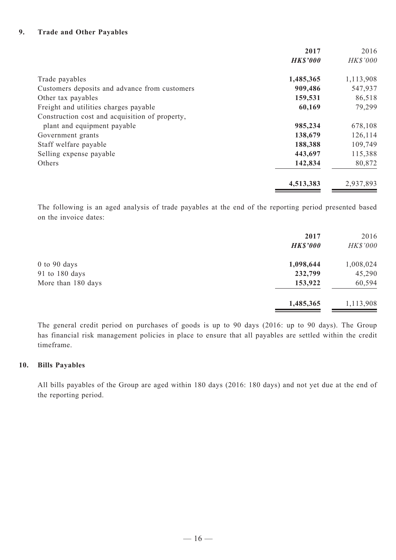#### **9. Trade and Other Payables**

|                                                | 2017            | 2016      |
|------------------------------------------------|-----------------|-----------|
|                                                | <b>HK\$'000</b> | HK\$'000  |
| Trade payables                                 | 1,485,365       | 1,113,908 |
| Customers deposits and advance from customers  | 909,486         | 547,937   |
| Other tax payables                             | 159,531         | 86,518    |
| Freight and utilities charges payable          | 60,169          | 79,299    |
| Construction cost and acquisition of property, |                 |           |
| plant and equipment payable                    | 985,234         | 678,108   |
| Government grants                              | 138,679         | 126,114   |
| Staff welfare payable                          | 188,388         | 109,749   |
| Selling expense payable                        | 443,697         | 115,388   |
| Others                                         | 142,834         | 80,872    |
|                                                | 4,513,383       | 2,937,893 |

The following is an aged analysis of trade payables at the end of the reporting period presented based on the invoice dates:

|                    | 2017            | 2016      |
|--------------------|-----------------|-----------|
|                    | <b>HK\$'000</b> | HK\$'000  |
| $0$ to $90$ days   | 1,098,644       | 1,008,024 |
| 91 to 180 days     | 232,799         | 45,290    |
| More than 180 days | 153,922         | 60,594    |
|                    | 1,485,365       | 1,113,908 |

The general credit period on purchases of goods is up to 90 days (2016: up to 90 days). The Group has financial risk management policies in place to ensure that all payables are settled within the credit timeframe.

#### **10. Bills Payables**

All bills payables of the Group are aged within 180 days (2016: 180 days) and not yet due at the end of the reporting period.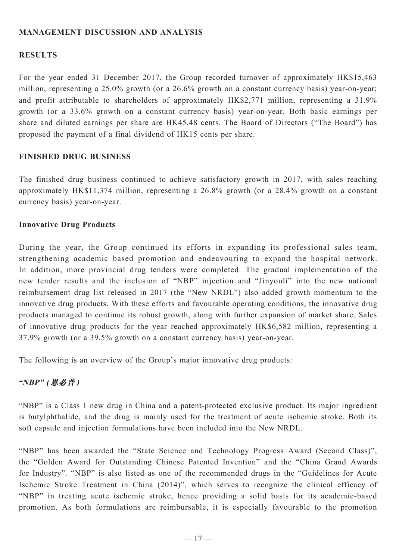# **MANAGEMENT DISCUSSION AND ANALYSIS**

### **RESULTS**

For the year ended 31 December 2017, the Group recorded turnover of approximately HK\$15,463 million, representing a 25.0% growth (or a 26.6% growth on a constant currency basis) year-on-year; and profit attributable to shareholders of approximately HK\$2,771 million, representing a 31.9% growth (or a 33.6% growth on a constant currency basis) year-on-year. Both basic earnings per share and diluted earnings per share are HK45.48 cents. The Board of Directors ("The Board") has proposed the payment of a final dividend of HK15 cents per share.

#### **FINISHED DRUG BUSINESS**

The finished drug business continued to achieve satisfactory growth in 2017, with sales reaching approximately HK\$11,374 million, representing a 26.8% growth (or a 28.4% growth on a constant currency basis) year-on-year.

#### **Innovative Drug Products**

During the year, the Group continued its efforts in expanding its professional sales team, strengthening academic based promotion and endeavouring to expand the hospital network. In addition, more provincial drug tenders were completed. The gradual implementation of the new tender results and the inclusion of "NBP" injection and "Jinyouli" into the new national reimbursement drug list released in 2017 (the "New NRDL") also added growth momentum to the innovative drug products. With these efforts and favourable operating conditions, the innovative drug products managed to continue its robust growth, along with further expansion of market share. Sales of innovative drug products for the year reached approximately HK\$6,582 million, representing a 37.9% growth (or a 39.5% growth on a constant currency basis) year-on-year.

The following is an overview of the Group's major innovative drug products:

## **"NBP" (恩必普)**

"NBP" is a Class 1 new drug in China and a patent-protected exclusive product. Its major ingredient is butylphthalide, and the drug is mainly used for the treatment of acute ischemic stroke. Both its soft capsule and injection formulations have been included into the New NRDL.

"NBP" has been awarded the "State Science and Technology Progress Award (Second Class)", the "Golden Award for Outstanding Chinese Patented Invention" and the "China Grand Awards for Industry". "NBP" is also listed as one of the recommended drugs in the "Guidelines for Acute Ischemic Stroke Treatment in China (2014)", which serves to recognize the clinical efficacy of "NBP" in treating acute ischemic stroke, hence providing a solid basis for its academic-based promotion. As both formulations are reimbursable, it is especially favourable to the promotion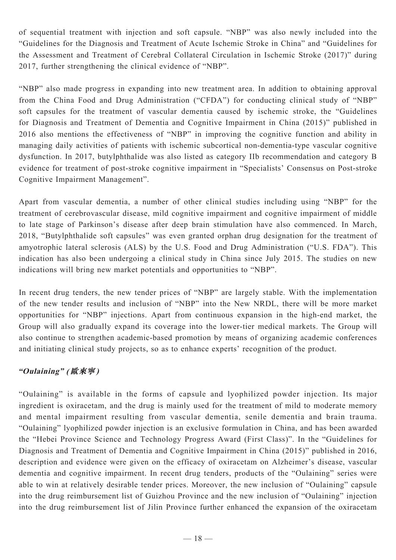of sequential treatment with injection and soft capsule. "NBP" was also newly included into the "Guidelines for the Diagnosis and Treatment of Acute Ischemic Stroke in China" and "Guidelines for the Assessment and Treatment of Cerebral Collateral Circulation in Ischemic Stroke (2017)" during 2017, further strengthening the clinical evidence of "NBP".

"NBP" also made progress in expanding into new treatment area. In addition to obtaining approval from the China Food and Drug Administration ("CFDA") for conducting clinical study of "NBP" soft capsules for the treatment of vascular dementia caused by ischemic stroke, the "Guidelines for Diagnosis and Treatment of Dementia and Cognitive Impairment in China (2015)" published in 2016 also mentions the effectiveness of "NBP" in improving the cognitive function and ability in managing daily activities of patients with ischemic subcortical non-dementia-type vascular cognitive dysfunction. In 2017, butylphthalide was also listed as category IIb recommendation and category B evidence for treatment of post-stroke cognitive impairment in "Specialists' Consensus on Post-stroke Cognitive Impairment Management".

Apart from vascular dementia, a number of other clinical studies including using "NBP" for the treatment of cerebrovascular disease, mild cognitive impairment and cognitive impairment of middle to late stage of Parkinson's disease after deep brain stimulation have also commenced. In March, 2018, "Butylphthalide soft capsules" was even granted orphan drug designation for the treatment of amyotrophic lateral sclerosis (ALS) by the U.S. Food and Drug Administration ("U.S. FDA"). This indication has also been undergoing a clinical study in China since July 2015. The studies on new indications will bring new market potentials and opportunities to "NBP".

In recent drug tenders, the new tender prices of "NBP" are largely stable. With the implementation of the new tender results and inclusion of "NBP" into the New NRDL, there will be more market opportunities for "NBP" injections. Apart from continuous expansion in the high-end market, the Group will also gradually expand its coverage into the lower-tier medical markets. The Group will also continue to strengthen academic-based promotion by means of organizing academic conferences and initiating clinical study projects, so as to enhance experts' recognition of the product.

# **"Oulaining" (歐來寧)**

"Oulaining" is available in the forms of capsule and lyophilized powder injection. Its major ingredient is oxiracetam, and the drug is mainly used for the treatment of mild to moderate memory and mental impairment resulting from vascular dementia, senile dementia and brain trauma. "Oulaining" lyophilized powder injection is an exclusive formulation in China, and has been awarded the "Hebei Province Science and Technology Progress Award (First Class)". In the "Guidelines for Diagnosis and Treatment of Dementia and Cognitive Impairment in China (2015)" published in 2016, description and evidence were given on the efficacy of oxiracetam on Alzheimer's disease, vascular dementia and cognitive impairment. In recent drug tenders, products of the "Oulaining" series were able to win at relatively desirable tender prices. Moreover, the new inclusion of "Oulaining" capsule into the drug reimbursement list of Guizhou Province and the new inclusion of "Oulaining" injection into the drug reimbursement list of Jilin Province further enhanced the expansion of the oxiracetam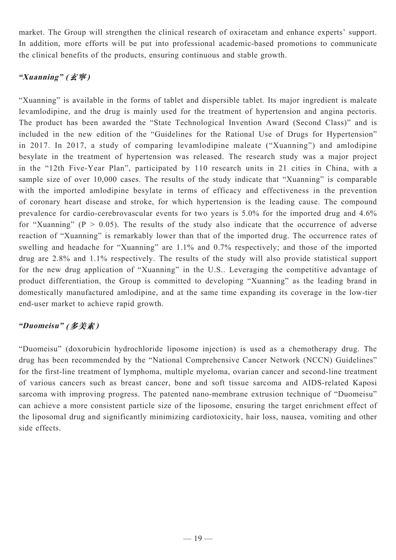market. The Group will strengthen the clinical research of oxiracetam and enhance experts' support. In addition, more efforts will be put into professional academic-based promotions to communicate the clinical benefits of the products, ensuring continuous and stable growth.

# **"Xuanning" (玄寧)**

"Xuanning" is available in the forms of tablet and dispersible tablet. Its major ingredient is maleate levamlodipine, and the drug is mainly used for the treatment of hypertension and angina pectoris. The product has been awarded the "State Technological Invention Award (Second Class)" and is included in the new edition of the "Guidelines for the Rational Use of Drugs for Hypertension" in 2017. In 2017, a study of comparing levamlodipine maleate ("Xuanning") and amlodipine besylate in the treatment of hypertension was released. The research study was a major project in the "12th Five-Year Plan", participated by 110 research units in 21 cities in China, with a sample size of over 10,000 cases. The results of the study indicate that "Xuanning" is comparable with the imported amlodipine besylate in terms of efficacy and effectiveness in the prevention of coronary heart disease and stroke, for which hypertension is the leading cause. The compound prevalence for cardio-cerebrovascular events for two years is 5.0% for the imported drug and 4.6% for "Xuanning" ( $P > 0.05$ ). The results of the study also indicate that the occurrence of adverse reaction of "Xuanning" is remarkably lower than that of the imported drug. The occurrence rates of swelling and headache for "Xuanning" are 1.1% and 0.7% respectively; and those of the imported drug are 2.8% and 1.1% respectively. The results of the study will also provide statistical support for the new drug application of "Xuanning" in the U.S.. Leveraging the competitive advantage of product differentiation, the Group is committed to developing "Xuanning" as the leading brand in domestically manufactured amlodipine, and at the same time expanding its coverage in the low-tier end-user market to achieve rapid growth.

# **"Duomeisu" (多美素)**

"Duomeisu" (doxorubicin hydrochloride liposome injection) is used as a chemotherapy drug. The drug has been recommended by the "National Comprehensive Cancer Network (NCCN) Guidelines" for the first-line treatment of lymphoma, multiple myeloma, ovarian cancer and second-line treatment of various cancers such as breast cancer, bone and soft tissue sarcoma and AIDS-related Kaposi sarcoma with improving progress. The patented nano-membrane extrusion technique of "Duomeisu" can achieve a more consistent particle size of the liposome, ensuring the target enrichment effect of the liposomal drug and significantly minimizing cardiotoxicity, hair loss, nausea, vomiting and other side effects.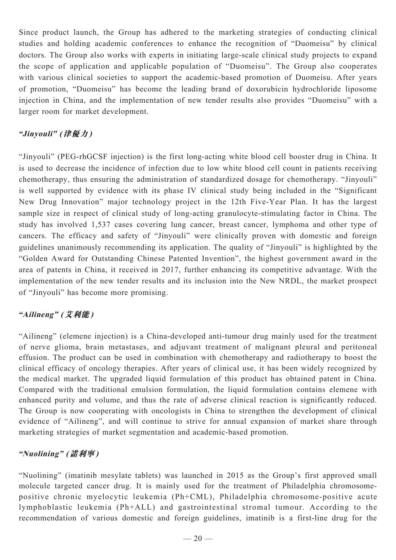Since product launch, the Group has adhered to the marketing strategies of conducting clinical studies and holding academic conferences to enhance the recognition of "Duomeisu" by clinical doctors. The Group also works with experts in initiating large-scale clinical study projects to expand the scope of application and applicable population of "Duomeisu". The Group also cooperates with various clinical societies to support the academic-based promotion of Duomeisu. After years of promotion, "Duomeisu" has become the leading brand of doxorubicin hydrochloride liposome injection in China, and the implementation of new tender results also provides "Duomeisu" with a larger room for market development.

# **"Jinyouli" (津優力)**

"Jinyouli" (PEG-rhGCSF injection) is the first long-acting white blood cell booster drug in China. It is used to decrease the incidence of infection due to low white blood cell count in patients receiving chemotherapy, thus ensuring the administration of standardized dosage for chemotherapy. "Jinyouli" is well supported by evidence with its phase IV clinical study being included in the "Significant New Drug Innovation" major technology project in the 12th Five-Year Plan. It has the largest sample size in respect of clinical study of long-acting granulocyte-stimulating factor in China. The study has involved 1,537 cases covering lung cancer, breast cancer, lymphoma and other type of cancers. The efficacy and safety of "Jinyouli" were clinically proven with domestic and foreign guidelines unanimously recommending its application. The quality of "Jinyouli" is highlighted by the "Golden Award for Outstanding Chinese Patented Invention", the highest government award in the area of patents in China, it received in 2017, further enhancing its competitive advantage. With the implementation of the new tender results and its inclusion into the New NRDL, the market prospect of "Jinyouli" has become more promising.

# **"Ailineng" (艾利能)**

"Ailineng" (elemene injection) is a China-developed anti-tumour drug mainly used for the treatment of nerve glioma, brain metastases, and adjuvant treatment of malignant pleural and peritoneal effusion. The product can be used in combination with chemotherapy and radiotherapy to boost the clinical efficacy of oncology therapies. After years of clinical use, it has been widely recognized by the medical market. The upgraded liquid formulation of this product has obtained patent in China. Compared with the traditional emulsion formulation, the liquid formulation contains elemene with enhanced purity and volume, and thus the rate of adverse clinical reaction is significantly reduced. The Group is now cooperating with oncologists in China to strengthen the development of clinical evidence of "Ailineng", and will continue to strive for annual expansion of market share through marketing strategies of market segmentation and academic-based promotion.

# **"Nuolining" (諾利寧)**

"Nuolining" (imatinib mesylate tablets) was launched in 2015 as the Group's first approved small molecule targeted cancer drug. It is mainly used for the treatment of Philadelphia chromosomepositive chronic myelocytic leukemia (Ph+CML), Philadelphia chromosome-positive acute lymphoblastic leukemia (Ph+ALL) and gastrointestinal stromal tumour. According to the recommendation of various domestic and foreign guidelines, imatinib is a first-line drug for the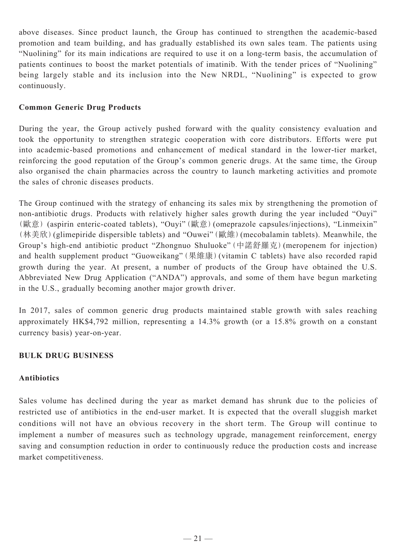above diseases. Since product launch, the Group has continued to strengthen the academic-based promotion and team building, and has gradually established its own sales team. The patients using "Nuolining" for its main indications are required to use it on a long-term basis, the accumulation of patients continues to boost the market potentials of imatinib. With the tender prices of "Nuolining" being largely stable and its inclusion into the New NRDL, "Nuolining" is expected to grow continuously.

# **Common Generic Drug Products**

During the year, the Group actively pushed forward with the quality consistency evaluation and took the opportunity to strengthen strategic cooperation with core distributors. Efforts were put into academic-based promotions and enhancement of medical standard in the lower-tier market, reinforcing the good reputation of the Group's common generic drugs. At the same time, the Group also organised the chain pharmacies across the country to launch marketing activities and promote the sales of chronic diseases products.

The Group continued with the strategy of enhancing its sales mix by strengthening the promotion of non-antibiotic drugs. Products with relatively higher sales growth during the year included "Ouyi" (歐意) (aspirin enteric-coated tablets), "Ouyi"(歐意)(omeprazole capsules/injections), "Linmeixin" (林美欣)(glimepiride dispersible tablets) and "Ouwei"(歐維)(mecobalamin tablets). Meanwhile, the Group's high-end antibiotic product "Zhongnuo Shuluoke"(中諾舒羅克)(meropenem for injection) and health supplement product "Guoweikang"(果維康)(vitamin C tablets) have also recorded rapid growth during the year. At present, a number of products of the Group have obtained the U.S. Abbreviated New Drug Application ("ANDA") approvals, and some of them have begun marketing in the U.S., gradually becoming another major growth driver.

In 2017, sales of common generic drug products maintained stable growth with sales reaching approximately HK\$4,792 million, representing a 14.3% growth (or a 15.8% growth on a constant currency basis) year-on-year.

## **BULK DRUG BUSINESS**

## **Antibiotics**

Sales volume has declined during the year as market demand has shrunk due to the policies of restricted use of antibiotics in the end-user market. It is expected that the overall sluggish market conditions will not have an obvious recovery in the short term. The Group will continue to implement a number of measures such as technology upgrade, management reinforcement, energy saving and consumption reduction in order to continuously reduce the production costs and increase market competitiveness.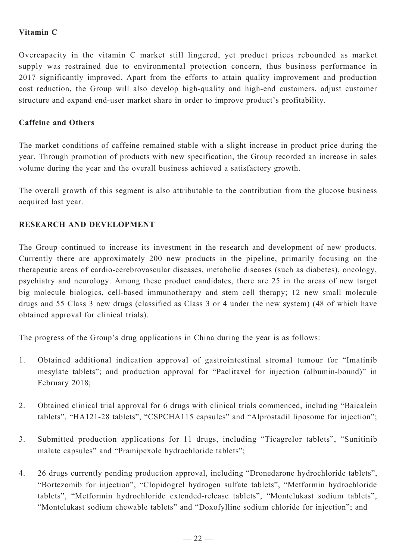# **Vitamin C**

Overcapacity in the vitamin C market still lingered, yet product prices rebounded as market supply was restrained due to environmental protection concern, thus business performance in 2017 significantly improved. Apart from the efforts to attain quality improvement and production cost reduction, the Group will also develop high-quality and high-end customers, adjust customer structure and expand end-user market share in order to improve product's profitability.

# **Caffeine and Others**

The market conditions of caffeine remained stable with a slight increase in product price during the year. Through promotion of products with new specification, the Group recorded an increase in sales volume during the year and the overall business achieved a satisfactory growth.

The overall growth of this segment is also attributable to the contribution from the glucose business acquired last year.

# **Research and Development**

The Group continued to increase its investment in the research and development of new products. Currently there are approximately 200 new products in the pipeline, primarily focusing on the therapeutic areas of cardio-cerebrovascular diseases, metabolic diseases (such as diabetes), oncology, psychiatry and neurology. Among these product candidates, there are 25 in the areas of new target big molecule biologics, cell-based immunotherapy and stem cell therapy; 12 new small molecule drugs and 55 Class 3 new drugs (classified as Class 3 or 4 under the new system) (48 of which have obtained approval for clinical trials).

The progress of the Group's drug applications in China during the year is as follows:

- 1. Obtained additional indication approval of gastrointestinal stromal tumour for "Imatinib mesylate tablets"; and production approval for "Paclitaxel for injection (albumin-bound)" in February 2018;
- 2. Obtained clinical trial approval for 6 drugs with clinical trials commenced, including "Baicalein tablets", "HA121-28 tablets", "CSPCHA115 capsules" and "Alprostadil liposome for injection";
- 3. Submitted production applications for 11 drugs, including "Ticagrelor tablets", "Sunitinib malate capsules" and "Pramipexole hydrochloride tablets";
- 4. 26 drugs currently pending production approval, including "Dronedarone hydrochloride tablets", "Bortezomib for injection", "Clopidogrel hydrogen sulfate tablets", "Metformin hydrochloride tablets", "Metformin hydrochloride extended-release tablets", "Montelukast sodium tablets", "Montelukast sodium chewable tablets" and "Doxofylline sodium chloride for injection"; and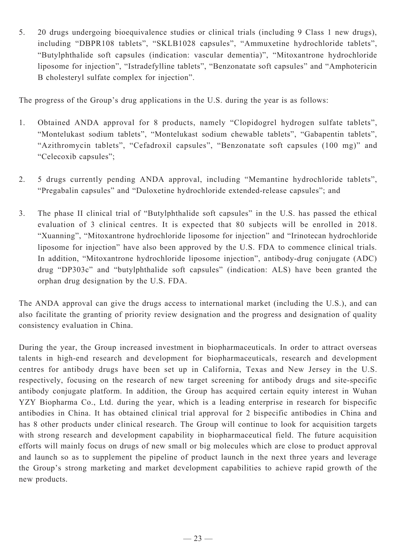5. 20 drugs undergoing bioequivalence studies or clinical trials (including 9 Class 1 new drugs), including "DBPR108 tablets", "SKLB1028 capsules", "Ammuxetine hydrochloride tablets", "Butylphthalide soft capsules (indication: vascular dementia)", "Mitoxantrone hydrochloride liposome for injection", "Istradefylline tablets", "Benzonatate soft capsules" and "Amphotericin B cholesteryl sulfate complex for injection".

The progress of the Group's drug applications in the U.S. during the year is as follows:

- 1. Obtained ANDA approval for 8 products, namely "Clopidogrel hydrogen sulfate tablets", "Montelukast sodium tablets", "Montelukast sodium chewable tablets", "Gabapentin tablets", "Azithromycin tablets", "Cefadroxil capsules", "Benzonatate soft capsules (100 mg)" and "Celecoxib capsules";
- 2. 5 drugs currently pending ANDA approval, including "Memantine hydrochloride tablets", "Pregabalin capsules" and "Duloxetine hydrochloride extended-release capsules"; and
- 3. The phase II clinical trial of "Butylphthalide soft capsules" in the U.S. has passed the ethical evaluation of 3 clinical centres. It is expected that 80 subjects will be enrolled in 2018. "Xuanning", "Mitoxantrone hydrochloride liposome for injection" and "Irinotecan hydrochloride liposome for injection" have also been approved by the U.S. FDA to commence clinical trials. In addition, "Mitoxantrone hydrochloride liposome injection", antibody-drug conjugate (ADC) drug "DP303c" and "butylphthalide soft capsules" (indication: ALS) have been granted the orphan drug designation by the U.S. FDA.

The ANDA approval can give the drugs access to international market (including the U.S.), and can also facilitate the granting of priority review designation and the progress and designation of quality consistency evaluation in China.

During the year, the Group increased investment in biopharmaceuticals. In order to attract overseas talents in high-end research and development for biopharmaceuticals, research and development centres for antibody drugs have been set up in California, Texas and New Jersey in the U.S. respectively, focusing on the research of new target screening for antibody drugs and site-specific antibody conjugate platform. In addition, the Group has acquired certain equity interest in Wuhan YZY Biopharma Co., Ltd. during the year, which is a leading enterprise in research for bispecific antibodies in China. It has obtained clinical trial approval for 2 bispecific antibodies in China and has 8 other products under clinical research. The Group will continue to look for acquisition targets with strong research and development capability in biopharmaceutical field. The future acquisition efforts will mainly focus on drugs of new small or big molecules which are close to product approval and launch so as to supplement the pipeline of product launch in the next three years and leverage the Group's strong marketing and market development capabilities to achieve rapid growth of the new products.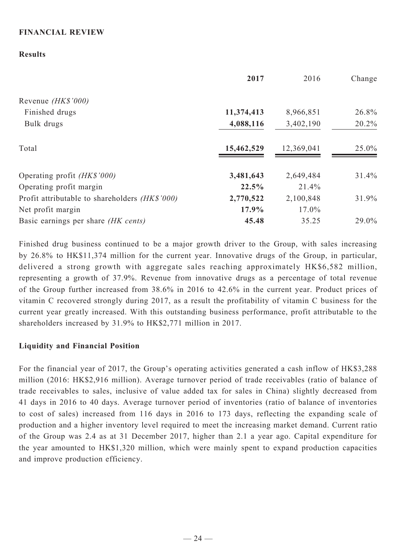# **FINANCIAL REVIEW**

## **Results**

|                                                       | 2017       | 2016       | Change |
|-------------------------------------------------------|------------|------------|--------|
| Revenue (HK\$'000)                                    |            |            |        |
| Finished drugs                                        | 11,374,413 | 8,966,851  | 26.8%  |
| Bulk drugs                                            | 4,088,116  | 3,402,190  | 20.2%  |
| Total                                                 | 15,462,529 | 12,369,041 | 25.0%  |
| Operating profit (HK\$'000)                           | 3,481,643  | 2,649,484  | 31.4%  |
| Operating profit margin                               | 22.5%      | 21.4%      |        |
| Profit attributable to shareholders <i>(HK\$'000)</i> | 2,770,522  | 2,100,848  | 31.9%  |
| Net profit margin                                     | 17.9%      | $17.0\%$   |        |
| Basic earnings per share (HK cents)                   | 45.48      | 35.25      | 29.0%  |

Finished drug business continued to be a major growth driver to the Group, with sales increasing by 26.8% to HK\$11,374 million for the current year. Innovative drugs of the Group, in particular, delivered a strong growth with aggregate sales reaching approximately HK\$6,582 million, representing a growth of 37.9%. Revenue from innovative drugs as a percentage of total revenue of the Group further increased from 38.6% in 2016 to 42.6% in the current year. Product prices of vitamin C recovered strongly during 2017, as a result the profitability of vitamin C business for the current year greatly increased. With this outstanding business performance, profit attributable to the shareholders increased by 31.9% to HK\$2,771 million in 2017.

## **Liquidity and Financial Position**

For the financial year of 2017, the Group's operating activities generated a cash inflow of HK\$3,288 million (2016: HK\$2,916 million). Average turnover period of trade receivables (ratio of balance of trade receivables to sales, inclusive of value added tax for sales in China) slightly decreased from 41 days in 2016 to 40 days. Average turnover period of inventories (ratio of balance of inventories to cost of sales) increased from 116 days in 2016 to 173 days, reflecting the expanding scale of production and a higher inventory level required to meet the increasing market demand. Current ratio of the Group was 2.4 as at 31 December 2017, higher than 2.1 a year ago. Capital expenditure for the year amounted to HK\$1,320 million, which were mainly spent to expand production capacities and improve production efficiency.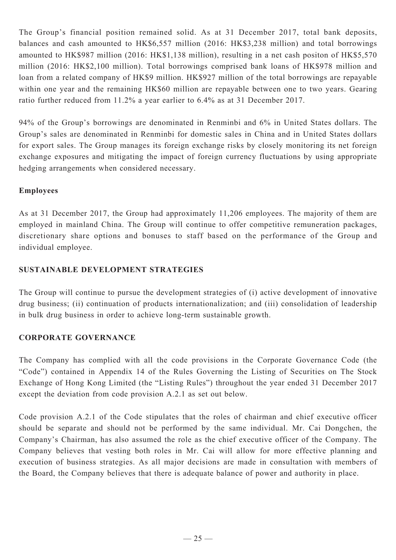The Group's financial position remained solid. As at 31 December 2017, total bank deposits, balances and cash amounted to HK\$6,557 million (2016: HK\$3,238 million) and total borrowings amounted to HK\$987 million (2016: HK\$1,138 million), resulting in a net cash positon of HK\$5,570 million (2016: HK\$2,100 million). Total borrowings comprised bank loans of HK\$978 million and loan from a related company of HK\$9 million. HK\$927 million of the total borrowings are repayable within one year and the remaining HK\$60 million are repayable between one to two years. Gearing ratio further reduced from 11.2% a year earlier to 6.4% as at 31 December 2017.

94% of the Group's borrowings are denominated in Renminbi and 6% in United States dollars. The Group's sales are denominated in Renminbi for domestic sales in China and in United States dollars for export sales. The Group manages its foreign exchange risks by closely monitoring its net foreign exchange exposures and mitigating the impact of foreign currency fluctuations by using appropriate hedging arrangements when considered necessary.

# **Employees**

As at 31 December 2017, the Group had approximately 11,206 employees. The majority of them are employed in mainland China. The Group will continue to offer competitive remuneration packages, discretionary share options and bonuses to staff based on the performance of the Group and individual employee.

# **SUSTAINABLE DEVELOPMENT STRATEGIES**

The Group will continue to pursue the development strategies of (i) active development of innovative drug business; (ii) continuation of products internationalization; and (iii) consolidation of leadership in bulk drug business in order to achieve long-term sustainable growth.

# **CORPORATE GOVERNANCE**

The Company has complied with all the code provisions in the Corporate Governance Code (the "Code") contained in Appendix 14 of the Rules Governing the Listing of Securities on The Stock Exchange of Hong Kong Limited (the "Listing Rules") throughout the year ended 31 December 2017 except the deviation from code provision A.2.1 as set out below.

Code provision A.2.1 of the Code stipulates that the roles of chairman and chief executive officer should be separate and should not be performed by the same individual. Mr. Cai Dongchen, the Company's Chairman, has also assumed the role as the chief executive officer of the Company. The Company believes that vesting both roles in Mr. Cai will allow for more effective planning and execution of business strategies. As all major decisions are made in consultation with members of the Board, the Company believes that there is adequate balance of power and authority in place.